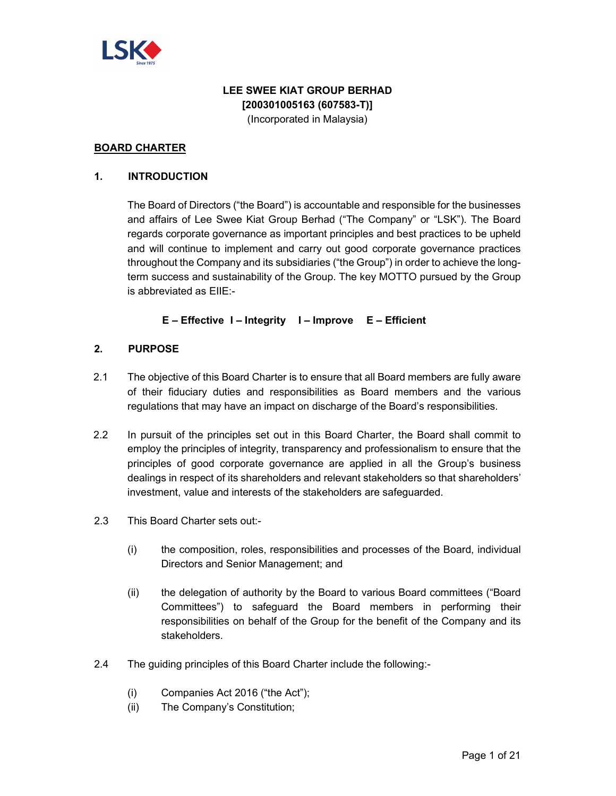

# **LEE SWEE KIAT GROUP BERHAD [200301005163 (607583-T)]**

(Incorporated in Malaysia)

## **BOARD CHARTER**

## **1. INTRODUCTION**

The Board of Directors ("the Board") is accountable and responsible for the businesses and affairs of Lee Swee Kiat Group Berhad ("The Company" or "LSK"). The Board regards corporate governance as important principles and best practices to be upheld and will continue to implement and carry out good corporate governance practices throughout the Company and its subsidiaries ("the Group") in order to achieve the longterm success and sustainability of the Group. The key MOTTO pursued by the Group is abbreviated as EIIE:-

**E – Effective I – Integrity I – Improve E – Efficient** 

## **2. PURPOSE**

- 2.1 The objective of this Board Charter is to ensure that all Board members are fully aware of their fiduciary duties and responsibilities as Board members and the various regulations that may have an impact on discharge of the Board's responsibilities.
- 2.2 In pursuit of the principles set out in this Board Charter, the Board shall commit to employ the principles of integrity, transparency and professionalism to ensure that the principles of good corporate governance are applied in all the Group's business dealings in respect of its shareholders and relevant stakeholders so that shareholders' investment, value and interests of the stakeholders are safeguarded.
- 2.3 This Board Charter sets out:-
	- (i) the composition, roles, responsibilities and processes of the Board, individual Directors and Senior Management; and
	- (ii) the delegation of authority by the Board to various Board committees ("Board Committees") to safeguard the Board members in performing their responsibilities on behalf of the Group for the benefit of the Company and its stakeholders.
- 2.4 The guiding principles of this Board Charter include the following:-
	- (i) Companies Act 2016 ("the Act");
	- (ii) The Company's Constitution;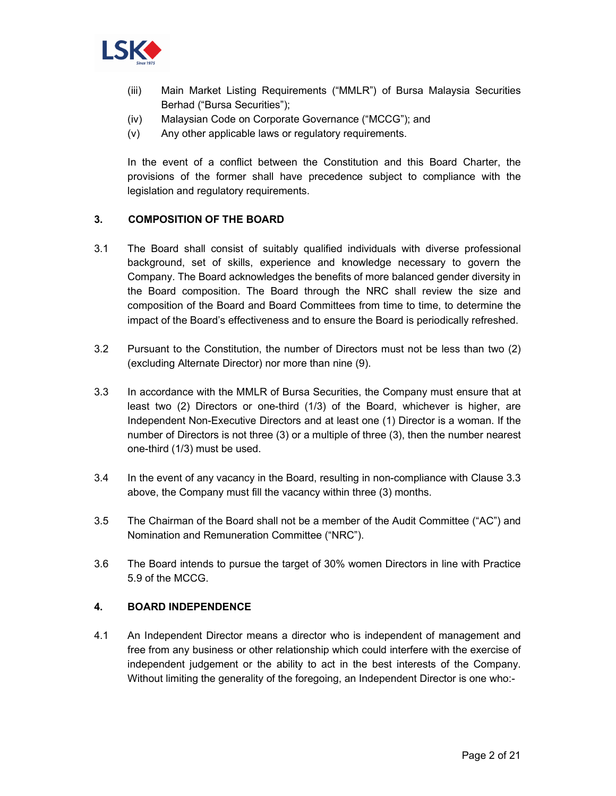

- (iii) Main Market Listing Requirements ("MMLR") of Bursa Malaysia Securities Berhad ("Bursa Securities");
- (iv) Malaysian Code on Corporate Governance ("MCCG"); and
- (v) Any other applicable laws or regulatory requirements.

In the event of a conflict between the Constitution and this Board Charter, the provisions of the former shall have precedence subject to compliance with the legislation and regulatory requirements.

## **3. COMPOSITION OF THE BOARD**

- 3.1 The Board shall consist of suitably qualified individuals with diverse professional background, set of skills, experience and knowledge necessary to govern the Company. The Board acknowledges the benefits of more balanced gender diversity in the Board composition. The Board through the NRC shall review the size and composition of the Board and Board Committees from time to time, to determine the impact of the Board's effectiveness and to ensure the Board is periodically refreshed.
- 3.2 Pursuant to the Constitution, the number of Directors must not be less than two (2) (excluding Alternate Director) nor more than nine (9).
- 3.3 In accordance with the MMLR of Bursa Securities, the Company must ensure that at least two (2) Directors or one-third (1/3) of the Board, whichever is higher, are Independent Non-Executive Directors and at least one (1) Director is a woman. If the number of Directors is not three (3) or a multiple of three (3), then the number nearest one-third (1/3) must be used.
- 3.4 In the event of any vacancy in the Board, resulting in non-compliance with Clause 3.3 above, the Company must fill the vacancy within three (3) months.
- 3.5 The Chairman of the Board shall not be a member of the Audit Committee ("AC") and Nomination and Remuneration Committee ("NRC").
- 3.6 The Board intends to pursue the target of 30% women Directors in line with Practice 5.9 of the MCCG.

#### **4. BOARD INDEPENDENCE**

4.1 An Independent Director means a director who is independent of management and free from any business or other relationship which could interfere with the exercise of independent judgement or the ability to act in the best interests of the Company. Without limiting the generality of the foregoing, an Independent Director is one who:-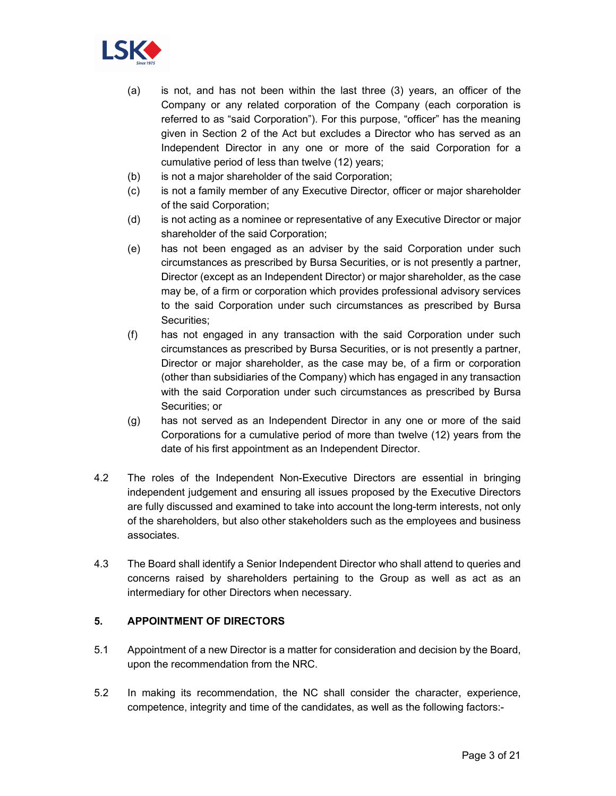

- (a) is not, and has not been within the last three (3) years, an officer of the Company or any related corporation of the Company (each corporation is referred to as "said Corporation"). For this purpose, "officer" has the meaning given in Section 2 of the Act but excludes a Director who has served as an Independent Director in any one or more of the said Corporation for a cumulative period of less than twelve (12) years;
- (b) is not a major shareholder of the said Corporation;
- (c) is not a family member of any Executive Director, officer or major shareholder of the said Corporation;
- (d) is not acting as a nominee or representative of any Executive Director or major shareholder of the said Corporation;
- (e) has not been engaged as an adviser by the said Corporation under such circumstances as prescribed by Bursa Securities, or is not presently a partner, Director (except as an Independent Director) or major shareholder, as the case may be, of a firm or corporation which provides professional advisory services to the said Corporation under such circumstances as prescribed by Bursa Securities;
- (f) has not engaged in any transaction with the said Corporation under such circumstances as prescribed by Bursa Securities, or is not presently a partner, Director or major shareholder, as the case may be, of a firm or corporation (other than subsidiaries of the Company) which has engaged in any transaction with the said Corporation under such circumstances as prescribed by Bursa Securities; or
- (g) has not served as an Independent Director in any one or more of the said Corporations for a cumulative period of more than twelve (12) years from the date of his first appointment as an Independent Director.
- 4.2 The roles of the Independent Non-Executive Directors are essential in bringing independent judgement and ensuring all issues proposed by the Executive Directors are fully discussed and examined to take into account the long-term interests, not only of the shareholders, but also other stakeholders such as the employees and business associates.
- 4.3 The Board shall identify a Senior Independent Director who shall attend to queries and concerns raised by shareholders pertaining to the Group as well as act as an intermediary for other Directors when necessary.

# **5. APPOINTMENT OF DIRECTORS**

- 5.1 Appointment of a new Director is a matter for consideration and decision by the Board, upon the recommendation from the NRC.
- 5.2 In making its recommendation, the NC shall consider the character, experience, competence, integrity and time of the candidates, as well as the following factors:-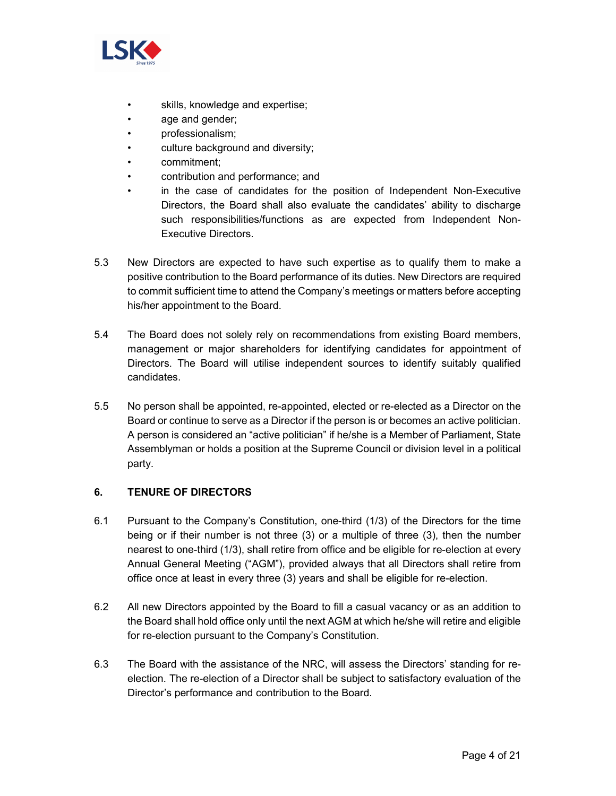

- skills, knowledge and expertise;
- age and gender;
- professionalism;
- culture background and diversity;
- commitment;
- contribution and performance; and
- in the case of candidates for the position of Independent Non-Executive Directors, the Board shall also evaluate the candidates' ability to discharge such responsibilities/functions as are expected from Independent Non-Executive Directors.
- 5.3 New Directors are expected to have such expertise as to qualify them to make a positive contribution to the Board performance of its duties. New Directors are required to commit sufficient time to attend the Company's meetings or matters before accepting his/her appointment to the Board.
- 5.4 The Board does not solely rely on recommendations from existing Board members, management or major shareholders for identifying candidates for appointment of Directors. The Board will utilise independent sources to identify suitably qualified candidates.
- 5.5 No person shall be appointed, re-appointed, elected or re-elected as a Director on the Board or continue to serve as a Director if the person is or becomes an active politician. A person is considered an "active politician" if he/she is a Member of Parliament, State Assemblyman or holds a position at the Supreme Council or division level in a political party.

# **6. TENURE OF DIRECTORS**

- 6.1 Pursuant to the Company's Constitution, one-third (1/3) of the Directors for the time being or if their number is not three (3) or a multiple of three (3), then the number nearest to one-third (1/3), shall retire from office and be eligible for re-election at every Annual General Meeting ("AGM"), provided always that all Directors shall retire from office once at least in every three (3) years and shall be eligible for re-election.
- 6.2 All new Directors appointed by the Board to fill a casual vacancy or as an addition to the Board shall hold office only until the next AGM at which he/she will retire and eligible for re-election pursuant to the Company's Constitution.
- 6.3 The Board with the assistance of the NRC, will assess the Directors' standing for reelection. The re-election of a Director shall be subject to satisfactory evaluation of the Director's performance and contribution to the Board.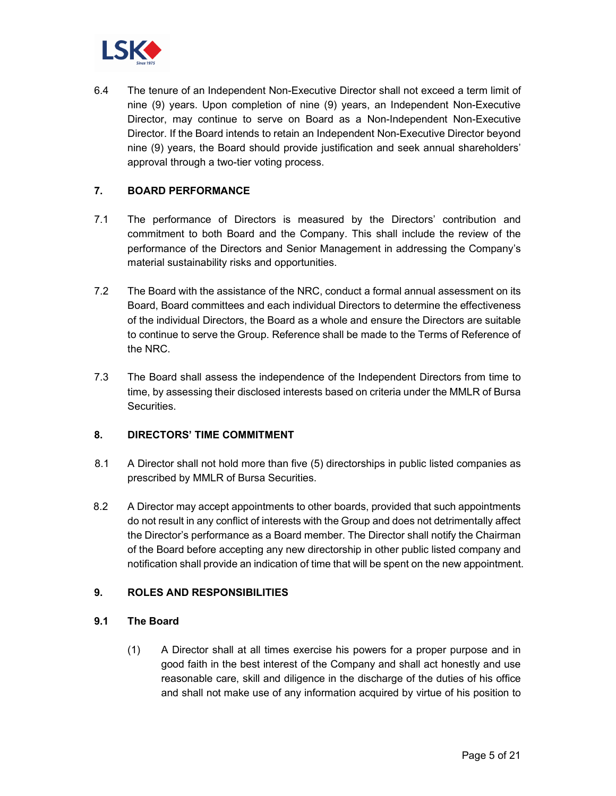

6.4 The tenure of an Independent Non-Executive Director shall not exceed a term limit of nine (9) years. Upon completion of nine (9) years, an Independent Non-Executive Director, may continue to serve on Board as a Non-Independent Non-Executive Director. If the Board intends to retain an Independent Non-Executive Director beyond nine (9) years, the Board should provide justification and seek annual shareholders' approval through a two-tier voting process.

## **7. BOARD PERFORMANCE**

- 7.1 The performance of Directors is measured by the Directors' contribution and commitment to both Board and the Company. This shall include the review of the performance of the Directors and Senior Management in addressing the Company's material sustainability risks and opportunities.
- 7.2 The Board with the assistance of the NRC, conduct a formal annual assessment on its Board, Board committees and each individual Directors to determine the effectiveness of the individual Directors, the Board as a whole and ensure the Directors are suitable to continue to serve the Group. Reference shall be made to the Terms of Reference of the NRC.
- 7.3 The Board shall assess the independence of the Independent Directors from time to time, by assessing their disclosed interests based on criteria under the MMLR of Bursa Securities.

#### **8. DIRECTORS' TIME COMMITMENT**

- 8.1 A Director shall not hold more than five (5) directorships in public listed companies as prescribed by MMLR of Bursa Securities.
- 8.2 A Director may accept appointments to other boards, provided that such appointments do not result in any conflict of interests with the Group and does not detrimentally affect the Director's performance as a Board member. The Director shall notify the Chairman of the Board before accepting any new directorship in other public listed company and notification shall provide an indication of time that will be spent on the new appointment.

#### **9. ROLES AND RESPONSIBILITIES**

#### **9.1 The Board**

(1) A Director shall at all times exercise his powers for a proper purpose and in good faith in the best interest of the Company and shall act honestly and use reasonable care, skill and diligence in the discharge of the duties of his office and shall not make use of any information acquired by virtue of his position to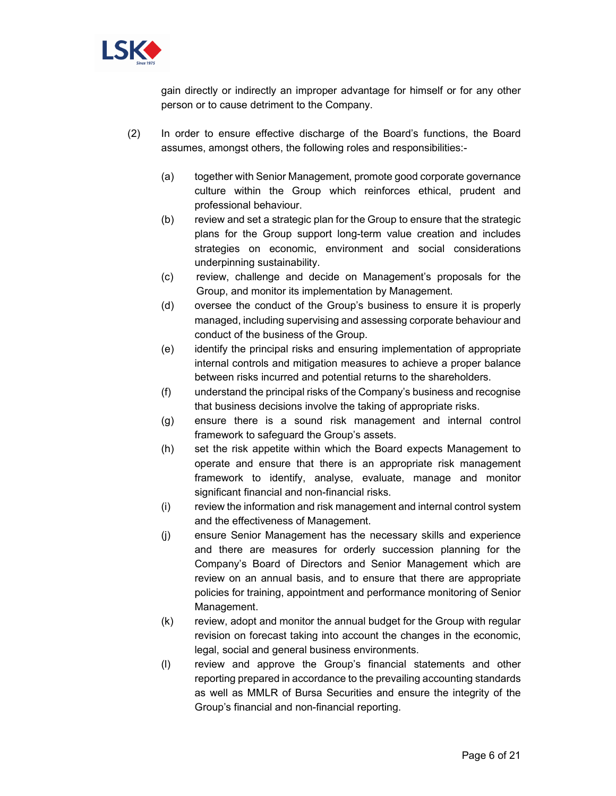

gain directly or indirectly an improper advantage for himself or for any other person or to cause detriment to the Company.

- (2) In order to ensure effective discharge of the Board's functions, the Board assumes, amongst others, the following roles and responsibilities:-
	- (a) together with Senior Management, promote good corporate governance culture within the Group which reinforces ethical, prudent and professional behaviour.
	- (b) review and set a strategic plan for the Group to ensure that the strategic plans for the Group support long-term value creation and includes strategies on economic, environment and social considerations underpinning sustainability.
	- (c) review, challenge and decide on Management's proposals for the Group, and monitor its implementation by Management.
	- (d) oversee the conduct of the Group's business to ensure it is properly managed, including supervising and assessing corporate behaviour and conduct of the business of the Group.
	- (e) identify the principal risks and ensuring implementation of appropriate internal controls and mitigation measures to achieve a proper balance between risks incurred and potential returns to the shareholders.
	- (f) understand the principal risks of the Company's business and recognise that business decisions involve the taking of appropriate risks.
	- (g) ensure there is a sound risk management and internal control framework to safeguard the Group's assets.
	- (h) set the risk appetite within which the Board expects Management to operate and ensure that there is an appropriate risk management framework to identify, analyse, evaluate, manage and monitor significant financial and non-financial risks.
	- (i) review the information and risk management and internal control system and the effectiveness of Management.
	- (j) ensure Senior Management has the necessary skills and experience and there are measures for orderly succession planning for the Company's Board of Directors and Senior Management which are review on an annual basis, and to ensure that there are appropriate policies for training, appointment and performance monitoring of Senior Management.
	- (k) review, adopt and monitor the annual budget for the Group with regular revision on forecast taking into account the changes in the economic, legal, social and general business environments.
	- (l) review and approve the Group's financial statements and other reporting prepared in accordance to the prevailing accounting standards as well as MMLR of Bursa Securities and ensure the integrity of the Group's financial and non-financial reporting.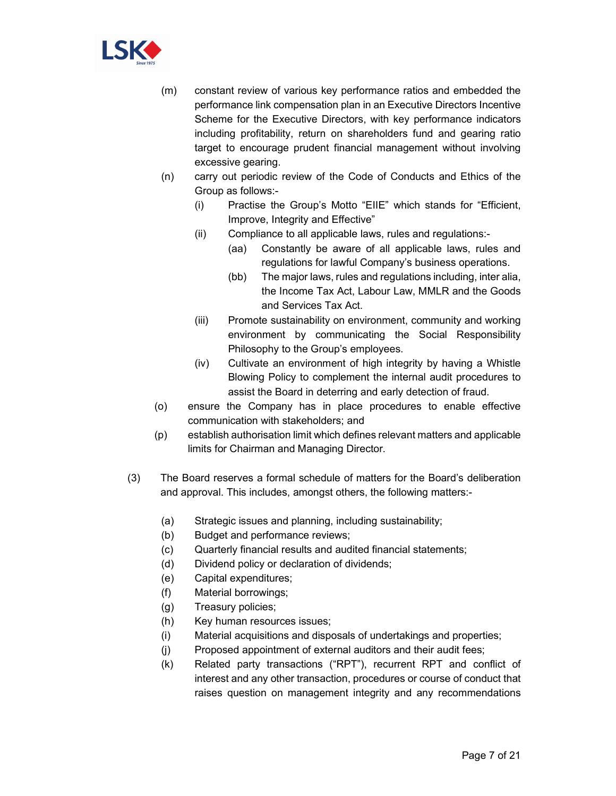

- (m) constant review of various key performance ratios and embedded the performance link compensation plan in an Executive Directors Incentive Scheme for the Executive Directors, with key performance indicators including profitability, return on shareholders fund and gearing ratio target to encourage prudent financial management without involving excessive gearing.
- (n) carry out periodic review of the Code of Conducts and Ethics of the Group as follows:-
	- (i) Practise the Group's Motto "EIIE" which stands for "Efficient, Improve, Integrity and Effective"
	- (ii) Compliance to all applicable laws, rules and regulations:-
		- (aa) Constantly be aware of all applicable laws, rules and regulations for lawful Company's business operations.
		- (bb) The major laws, rules and regulations including, inter alia, the Income Tax Act, Labour Law, MMLR and the Goods and Services Tax Act.
	- (iii) Promote sustainability on environment, community and working environment by communicating the Social Responsibility Philosophy to the Group's employees.
	- (iv) Cultivate an environment of high integrity by having a Whistle Blowing Policy to complement the internal audit procedures to assist the Board in deterring and early detection of fraud.
- (o) ensure the Company has in place procedures to enable effective communication with stakeholders; and
- (p) establish authorisation limit which defines relevant matters and applicable limits for Chairman and Managing Director.
- (3) The Board reserves a formal schedule of matters for the Board's deliberation and approval. This includes, amongst others, the following matters:-
	- (a) Strategic issues and planning, including sustainability;
	- (b) Budget and performance reviews;
	- (c) Quarterly financial results and audited financial statements;
	- (d) Dividend policy or declaration of dividends;
	- (e) Capital expenditures;
	- (f) Material borrowings;
	- (g) Treasury policies;
	- (h) Key human resources issues;
	- (i) Material acquisitions and disposals of undertakings and properties;
	- (j) Proposed appointment of external auditors and their audit fees;
	- (k) Related party transactions ("RPT"), recurrent RPT and conflict of interest and any other transaction, procedures or course of conduct that raises question on management integrity and any recommendations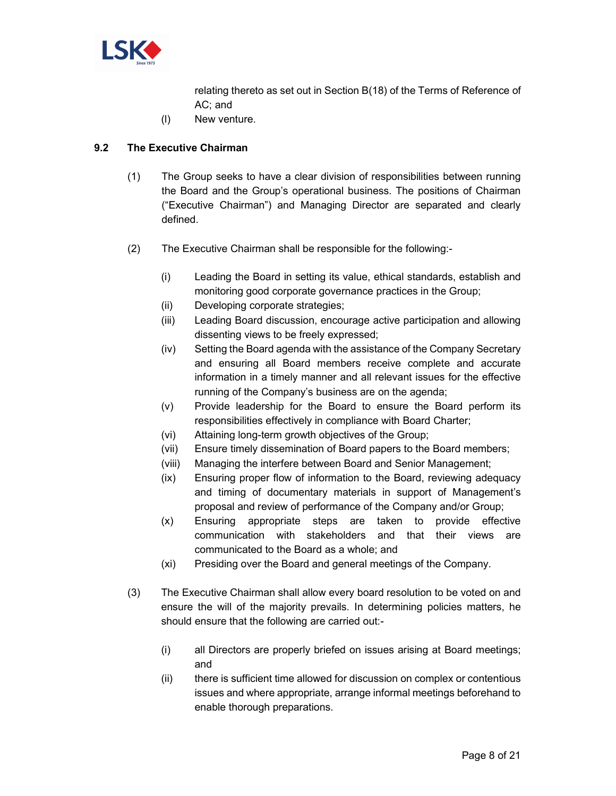

relating thereto as set out in Section B(18) of the Terms of Reference of AC; and

(l) New venture.

## **9.2 The Executive Chairman**

- (1) The Group seeks to have a clear division of responsibilities between running the Board and the Group's operational business. The positions of Chairman ("Executive Chairman") and Managing Director are separated and clearly defined.
- (2) The Executive Chairman shall be responsible for the following:-
	- (i) Leading the Board in setting its value, ethical standards, establish and monitoring good corporate governance practices in the Group;
	- (ii) Developing corporate strategies;
	- (iii) Leading Board discussion, encourage active participation and allowing dissenting views to be freely expressed;
	- (iv) Setting the Board agenda with the assistance of the Company Secretary and ensuring all Board members receive complete and accurate information in a timely manner and all relevant issues for the effective running of the Company's business are on the agenda;
	- (v) Provide leadership for the Board to ensure the Board perform its responsibilities effectively in compliance with Board Charter;
	- (vi) Attaining long-term growth objectives of the Group;
	- (vii) Ensure timely dissemination of Board papers to the Board members;
	- (viii) Managing the interfere between Board and Senior Management;
	- (ix) Ensuring proper flow of information to the Board, reviewing adequacy and timing of documentary materials in support of Management's proposal and review of performance of the Company and/or Group;
	- (x) Ensuring appropriate steps are taken to provide effective communication with stakeholders and that their views are communicated to the Board as a whole; and
	- (xi) Presiding over the Board and general meetings of the Company.
- (3) The Executive Chairman shall allow every board resolution to be voted on and ensure the will of the majority prevails. In determining policies matters, he should ensure that the following are carried out:-
	- (i) all Directors are properly briefed on issues arising at Board meetings; and
	- (ii) there is sufficient time allowed for discussion on complex or contentious issues and where appropriate, arrange informal meetings beforehand to enable thorough preparations.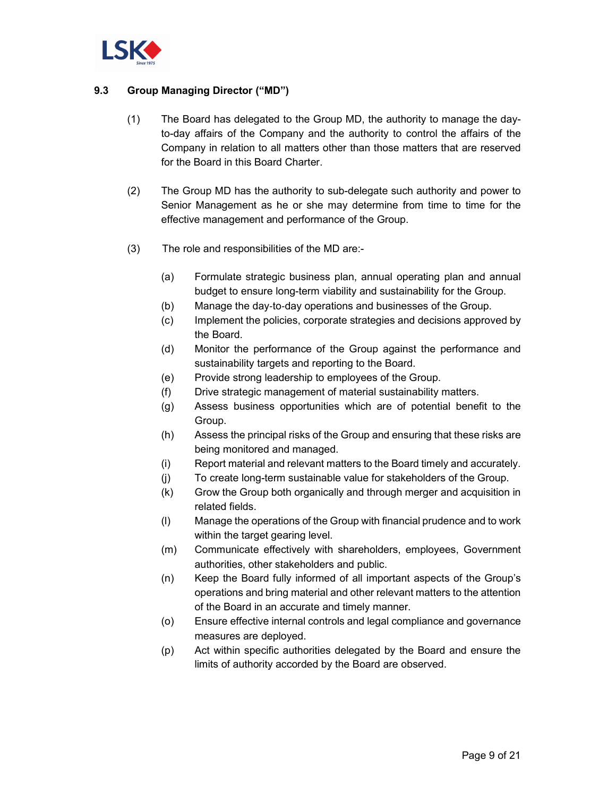

# **9.3 Group Managing Director ("MD")**

- (1) The Board has delegated to the Group MD, the authority to manage the dayto-day affairs of the Company and the authority to control the affairs of the Company in relation to all matters other than those matters that are reserved for the Board in this Board Charter.
- (2) The Group MD has the authority to sub-delegate such authority and power to Senior Management as he or she may determine from time to time for the effective management and performance of the Group.
- (3) The role and responsibilities of the MD are:-
	- (a) Formulate strategic business plan, annual operating plan and annual budget to ensure long-term viability and sustainability for the Group.
	- (b) Manage the day‐to‐day operations and businesses of the Group.
	- (c) Implement the policies, corporate strategies and decisions approved by the Board.
	- (d) Monitor the performance of the Group against the performance and sustainability targets and reporting to the Board.
	- (e) Provide strong leadership to employees of the Group.
	- (f) Drive strategic management of material sustainability matters.
	- (g) Assess business opportunities which are of potential benefit to the Group.
	- (h) Assess the principal risks of the Group and ensuring that these risks are being monitored and managed.
	- (i) Report material and relevant matters to the Board timely and accurately.
	- (j) To create long-term sustainable value for stakeholders of the Group.
	- (k) Grow the Group both organically and through merger and acquisition in related fields.
	- (l) Manage the operations of the Group with financial prudence and to work within the target gearing level.
	- (m) Communicate effectively with shareholders, employees, Government authorities, other stakeholders and public.
	- (n) Keep the Board fully informed of all important aspects of the Group's operations and bring material and other relevant matters to the attention of the Board in an accurate and timely manner.
	- (o) Ensure effective internal controls and legal compliance and governance measures are deployed.
	- (p) Act within specific authorities delegated by the Board and ensure the limits of authority accorded by the Board are observed.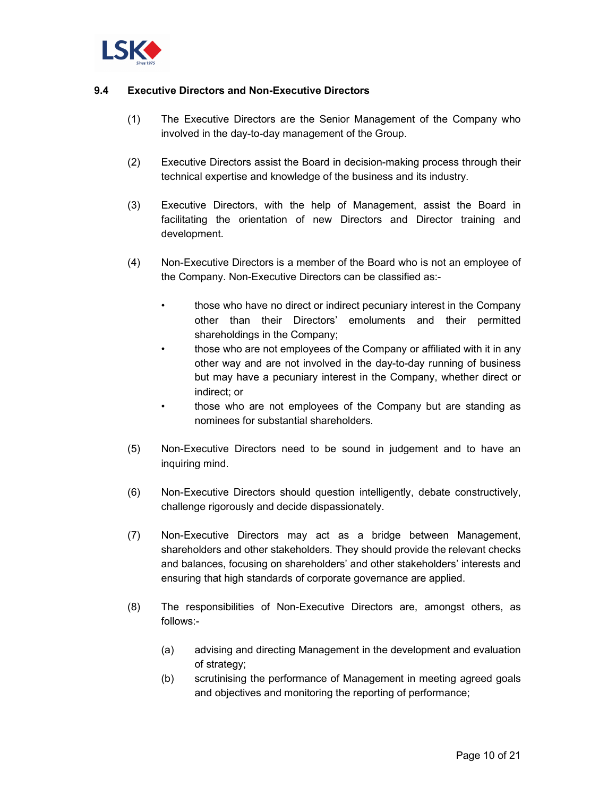

## **9.4 Executive Directors and Non-Executive Directors**

- (1) The Executive Directors are the Senior Management of the Company who involved in the day-to-day management of the Group.
- (2) Executive Directors assist the Board in decision-making process through their technical expertise and knowledge of the business and its industry.
- (3) Executive Directors, with the help of Management, assist the Board in facilitating the orientation of new Directors and Director training and development.
- (4) Non-Executive Directors is a member of the Board who is not an employee of the Company. Non-Executive Directors can be classified as:-
	- those who have no direct or indirect pecuniary interest in the Company other than their Directors' emoluments and their permitted shareholdings in the Company;
	- those who are not employees of the Company or affiliated with it in any other way and are not involved in the day-to-day running of business but may have a pecuniary interest in the Company, whether direct or indirect; or
	- those who are not employees of the Company but are standing as nominees for substantial shareholders.
- (5) Non-Executive Directors need to be sound in judgement and to have an inquiring mind.
- (6) Non-Executive Directors should question intelligently, debate constructively, challenge rigorously and decide dispassionately.
- (7) Non-Executive Directors may act as a bridge between Management, shareholders and other stakeholders. They should provide the relevant checks and balances, focusing on shareholders' and other stakeholders' interests and ensuring that high standards of corporate governance are applied.
- (8) The responsibilities of Non-Executive Directors are, amongst others, as follows:-
	- (a) advising and directing Management in the development and evaluation of strategy;
	- (b) scrutinising the performance of Management in meeting agreed goals and objectives and monitoring the reporting of performance;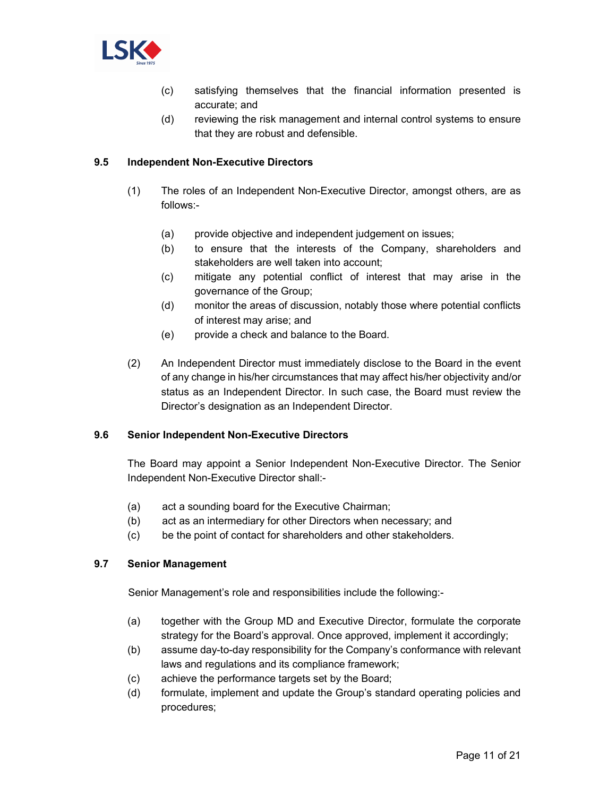

- (c) satisfying themselves that the financial information presented is accurate; and
- (d) reviewing the risk management and internal control systems to ensure that they are robust and defensible.

## **9.5 Independent Non-Executive Directors**

- (1) The roles of an Independent Non-Executive Director, amongst others, are as follows:-
	- (a) provide objective and independent judgement on issues;
	- (b) to ensure that the interests of the Company, shareholders and stakeholders are well taken into account;
	- (c) mitigate any potential conflict of interest that may arise in the governance of the Group;
	- (d) monitor the areas of discussion, notably those where potential conflicts of interest may arise; and
	- (e) provide a check and balance to the Board.
- (2) An Independent Director must immediately disclose to the Board in the event of any change in his/her circumstances that may affect his/her objectivity and/or status as an Independent Director. In such case, the Board must review the Director's designation as an Independent Director.

#### **9.6 Senior Independent Non-Executive Directors**

The Board may appoint a Senior Independent Non-Executive Director. The Senior Independent Non-Executive Director shall:-

- (a) act a sounding board for the Executive Chairman;
- (b) act as an intermediary for other Directors when necessary; and
- (c) be the point of contact for shareholders and other stakeholders.

#### **9.7 Senior Management**

Senior Management's role and responsibilities include the following:-

- (a) together with the Group MD and Executive Director, formulate the corporate strategy for the Board's approval. Once approved, implement it accordingly;
- (b) assume day-to-day responsibility for the Company's conformance with relevant laws and regulations and its compliance framework;
- (c) achieve the performance targets set by the Board;
- (d) formulate, implement and update the Group's standard operating policies and procedures;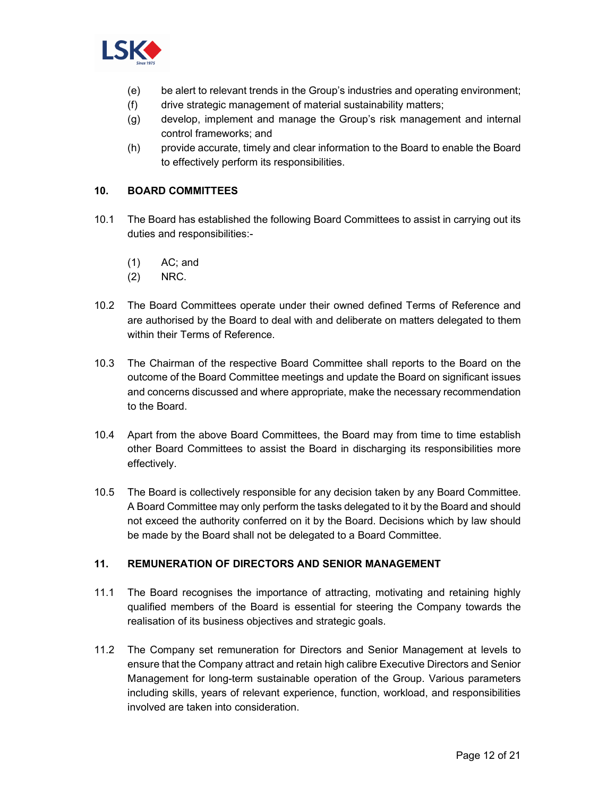

- (e) be alert to relevant trends in the Group's industries and operating environment;
- (f) drive strategic management of material sustainability matters;
- (g) develop, implement and manage the Group's risk management and internal control frameworks; and
- (h) provide accurate, timely and clear information to the Board to enable the Board to effectively perform its responsibilities.

## **10. BOARD COMMITTEES**

- 10.1 The Board has established the following Board Committees to assist in carrying out its duties and responsibilities:-
	- (1) AC; and
	- (2) NRC.
- 10.2 The Board Committees operate under their owned defined Terms of Reference and are authorised by the Board to deal with and deliberate on matters delegated to them within their Terms of Reference
- 10.3 The Chairman of the respective Board Committee shall reports to the Board on the outcome of the Board Committee meetings and update the Board on significant issues and concerns discussed and where appropriate, make the necessary recommendation to the Board.
- 10.4 Apart from the above Board Committees, the Board may from time to time establish other Board Committees to assist the Board in discharging its responsibilities more effectively.
- 10.5 The Board is collectively responsible for any decision taken by any Board Committee. A Board Committee may only perform the tasks delegated to it by the Board and should not exceed the authority conferred on it by the Board. Decisions which by law should be made by the Board shall not be delegated to a Board Committee.

## **11. REMUNERATION OF DIRECTORS AND SENIOR MANAGEMENT**

- 11.1 The Board recognises the importance of attracting, motivating and retaining highly qualified members of the Board is essential for steering the Company towards the realisation of its business objectives and strategic goals.
- 11.2 The Company set remuneration for Directors and Senior Management at levels to ensure that the Company attract and retain high calibre Executive Directors and Senior Management for long-term sustainable operation of the Group. Various parameters including skills, years of relevant experience, function, workload, and responsibilities involved are taken into consideration.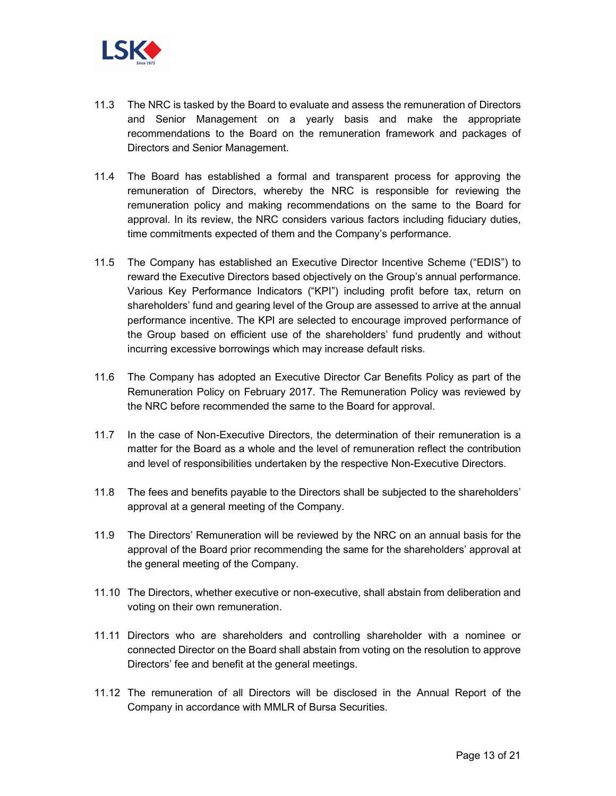

- 11.3 The NRC is tasked by the Board to evaluate and assess the remuneration of Directors and Senior Management on a yearly basis and make the appropriate recommendations to the Board on the remuneration framework and packages of Directors and Senior Management.
- 11.4 The Board has established a formal and transparent process for approving the remuneration of Directors, whereby the NRC is responsible for reviewing the remuneration policy and making recommendations on the same to the Board for approval. In its review, the NRC considers various factors including fiduciary duties, time commitments expected of them and the Company's performance.
- 11.5 The Company has established an Executive Director Incentive Scheme ("EDIS") to reward the Executive Directors based objectively on the Group's annual performance. Various Key Performance Indicators ("KPI") including profit before tax, return on shareholders' fund and gearing level of the Group are assessed to arrive at the annual performance incentive. The KPI are selected to encourage improved performance of the Group based on efficient use of the shareholders' fund prudently and without incurring excessive borrowings which may increase default risks.
- 11.6 The Company has adopted an Executive Director Car Benefits Policy as part of the Remuneration Policy on February 2017. The Remuneration Policy was reviewed by the NRC before recommended the same to the Board for approval.
- 11.7 In the case of Non-Executive Directors, the determination of their remuneration is a matter for the Board as a whole and the level of remuneration reflect the contribution and level of responsibilities undertaken by the respective Non-Executive Directors.
- 11.8 The fees and benefits payable to the Directors shall be subjected to the shareholders' approval at a general meeting of the Company.
- 11.9 The Directors' Remuneration will be reviewed by the NRC on an annual basis for the approval of the Board prior recommending the same for the shareholders' approval at the general meeting of the Company.
- 11.10 The Directors, whether executive or non-executive, shall abstain from deliberation and voting on their own remuneration.
- 11.11 Directors who are shareholders and controlling shareholder with a nominee or connected Director on the Board shall abstain from voting on the resolution to approve Directors' fee and benefit at the general meetings.
- 11.12 The remuneration of all Directors will be disclosed in the Annual Report of the Company in accordance with MMLR of Bursa Securities.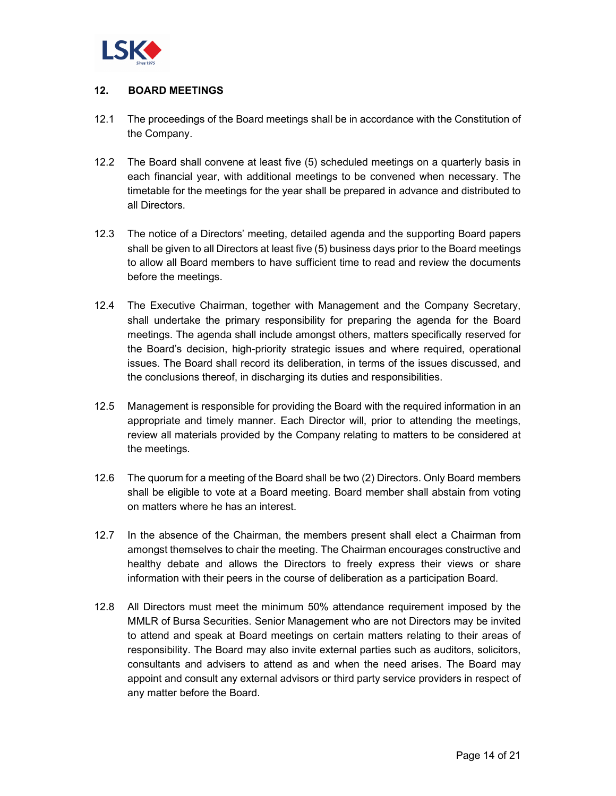

# **12. BOARD MEETINGS**

- 12.1 The proceedings of the Board meetings shall be in accordance with the Constitution of the Company.
- 12.2 The Board shall convene at least five (5) scheduled meetings on a quarterly basis in each financial year, with additional meetings to be convened when necessary. The timetable for the meetings for the year shall be prepared in advance and distributed to all Directors.
- 12.3 The notice of a Directors' meeting, detailed agenda and the supporting Board papers shall be given to all Directors at least five (5) business days prior to the Board meetings to allow all Board members to have sufficient time to read and review the documents before the meetings.
- 12.4 The Executive Chairman, together with Management and the Company Secretary, shall undertake the primary responsibility for preparing the agenda for the Board meetings. The agenda shall include amongst others, matters specifically reserved for the Board's decision, high-priority strategic issues and where required, operational issues. The Board shall record its deliberation, in terms of the issues discussed, and the conclusions thereof, in discharging its duties and responsibilities.
- 12.5 Management is responsible for providing the Board with the required information in an appropriate and timely manner. Each Director will, prior to attending the meetings, review all materials provided by the Company relating to matters to be considered at the meetings.
- 12.6 The quorum for a meeting of the Board shall be two (2) Directors. Only Board members shall be eligible to vote at a Board meeting. Board member shall abstain from voting on matters where he has an interest.
- 12.7 In the absence of the Chairman, the members present shall elect a Chairman from amongst themselves to chair the meeting. The Chairman encourages constructive and healthy debate and allows the Directors to freely express their views or share information with their peers in the course of deliberation as a participation Board.
- 12.8 All Directors must meet the minimum 50% attendance requirement imposed by the MMLR of Bursa Securities. Senior Management who are not Directors may be invited to attend and speak at Board meetings on certain matters relating to their areas of responsibility. The Board may also invite external parties such as auditors, solicitors, consultants and advisers to attend as and when the need arises. The Board may appoint and consult any external advisors or third party service providers in respect of any matter before the Board.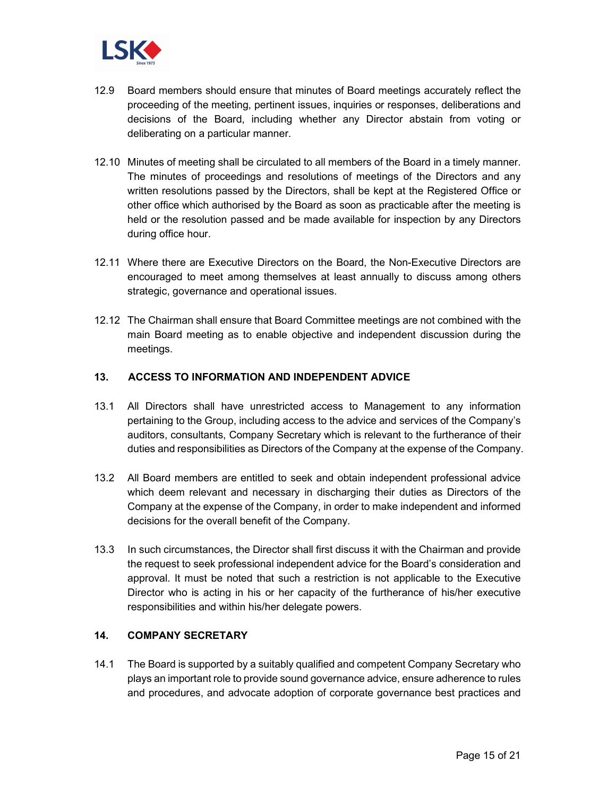

- 12.9 Board members should ensure that minutes of Board meetings accurately reflect the proceeding of the meeting, pertinent issues, inquiries or responses, deliberations and decisions of the Board, including whether any Director abstain from voting or deliberating on a particular manner.
- 12.10 Minutes of meeting shall be circulated to all members of the Board in a timely manner. The minutes of proceedings and resolutions of meetings of the Directors and any written resolutions passed by the Directors, shall be kept at the Registered Office or other office which authorised by the Board as soon as practicable after the meeting is held or the resolution passed and be made available for inspection by any Directors during office hour.
- 12.11 Where there are Executive Directors on the Board, the Non-Executive Directors are encouraged to meet among themselves at least annually to discuss among others strategic, governance and operational issues.
- 12.12 The Chairman shall ensure that Board Committee meetings are not combined with the main Board meeting as to enable objective and independent discussion during the meetings.

## **13. ACCESS TO INFORMATION AND INDEPENDENT ADVICE**

- 13.1 All Directors shall have unrestricted access to Management to any information pertaining to the Group, including access to the advice and services of the Company's auditors, consultants, Company Secretary which is relevant to the furtherance of their duties and responsibilities as Directors of the Company at the expense of the Company.
- 13.2 All Board members are entitled to seek and obtain independent professional advice which deem relevant and necessary in discharging their duties as Directors of the Company at the expense of the Company, in order to make independent and informed decisions for the overall benefit of the Company.
- 13.3 In such circumstances, the Director shall first discuss it with the Chairman and provide the request to seek professional independent advice for the Board's consideration and approval. It must be noted that such a restriction is not applicable to the Executive Director who is acting in his or her capacity of the furtherance of his/her executive responsibilities and within his/her delegate powers.

#### **14. COMPANY SECRETARY**

14.1 The Board is supported by a suitably qualified and competent Company Secretary who plays an important role to provide sound governance advice, ensure adherence to rules and procedures, and advocate adoption of corporate governance best practices and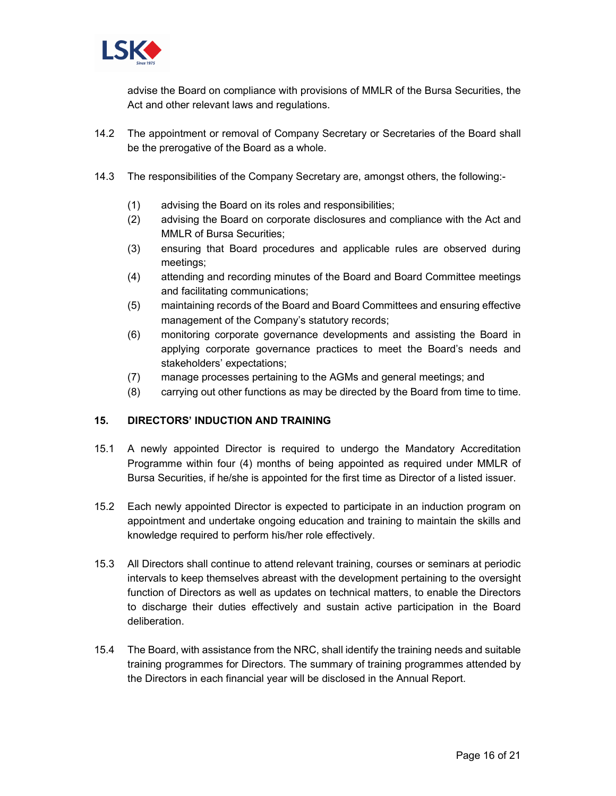

advise the Board on compliance with provisions of MMLR of the Bursa Securities, the Act and other relevant laws and regulations.

- 14.2 The appointment or removal of Company Secretary or Secretaries of the Board shall be the prerogative of the Board as a whole.
- 14.3 The responsibilities of the Company Secretary are, amongst others, the following:-
	- (1) advising the Board on its roles and responsibilities;
	- (2) advising the Board on corporate disclosures and compliance with the Act and MMLR of Bursa Securities;
	- (3) ensuring that Board procedures and applicable rules are observed during meetings;
	- (4) attending and recording minutes of the Board and Board Committee meetings and facilitating communications;
	- (5) maintaining records of the Board and Board Committees and ensuring effective management of the Company's statutory records;
	- (6) monitoring corporate governance developments and assisting the Board in applying corporate governance practices to meet the Board's needs and stakeholders' expectations;
	- (7) manage processes pertaining to the AGMs and general meetings; and
	- (8) carrying out other functions as may be directed by the Board from time to time.

# **15. DIRECTORS' INDUCTION AND TRAINING**

- 15.1 A newly appointed Director is required to undergo the Mandatory Accreditation Programme within four (4) months of being appointed as required under MMLR of Bursa Securities, if he/she is appointed for the first time as Director of a listed issuer.
- 15.2 Each newly appointed Director is expected to participate in an induction program on appointment and undertake ongoing education and training to maintain the skills and knowledge required to perform his/her role effectively.
- 15.3 All Directors shall continue to attend relevant training, courses or seminars at periodic intervals to keep themselves abreast with the development pertaining to the oversight function of Directors as well as updates on technical matters, to enable the Directors to discharge their duties effectively and sustain active participation in the Board deliberation.
- 15.4 The Board, with assistance from the NRC, shall identify the training needs and suitable training programmes for Directors. The summary of training programmes attended by the Directors in each financial year will be disclosed in the Annual Report.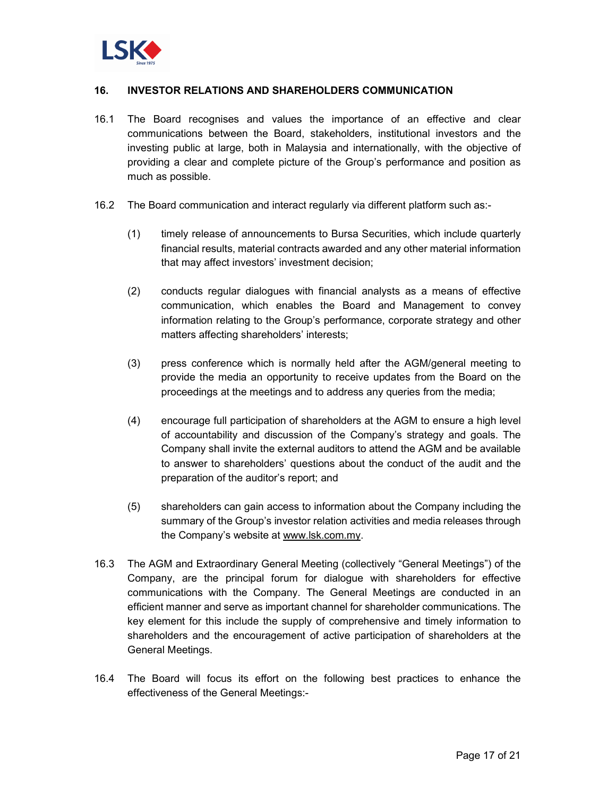

#### **16. INVESTOR RELATIONS AND SHAREHOLDERS COMMUNICATION**

- 16.1 The Board recognises and values the importance of an effective and clear communications between the Board, stakeholders, institutional investors and the investing public at large, both in Malaysia and internationally, with the objective of providing a clear and complete picture of the Group's performance and position as much as possible.
- 16.2 The Board communication and interact regularly via different platform such as:-
	- (1) timely release of announcements to Bursa Securities, which include quarterly financial results, material contracts awarded and any other material information that may affect investors' investment decision;
	- (2) conducts regular dialogues with financial analysts as a means of effective communication, which enables the Board and Management to convey information relating to the Group's performance, corporate strategy and other matters affecting shareholders' interests;
	- (3) press conference which is normally held after the AGM/general meeting to provide the media an opportunity to receive updates from the Board on the proceedings at the meetings and to address any queries from the media;
	- (4) encourage full participation of shareholders at the AGM to ensure a high level of accountability and discussion of the Company's strategy and goals. The Company shall invite the external auditors to attend the AGM and be available to answer to shareholders' questions about the conduct of the audit and the preparation of the auditor's report; and
	- (5) shareholders can gain access to information about the Company including the summary of the Group's investor relation activities and media releases through the Company's website at www.lsk.com.my.
- 16.3 The AGM and Extraordinary General Meeting (collectively "General Meetings") of the Company, are the principal forum for dialogue with shareholders for effective communications with the Company. The General Meetings are conducted in an efficient manner and serve as important channel for shareholder communications. The key element for this include the supply of comprehensive and timely information to shareholders and the encouragement of active participation of shareholders at the General Meetings.
- 16.4 The Board will focus its effort on the following best practices to enhance the effectiveness of the General Meetings:-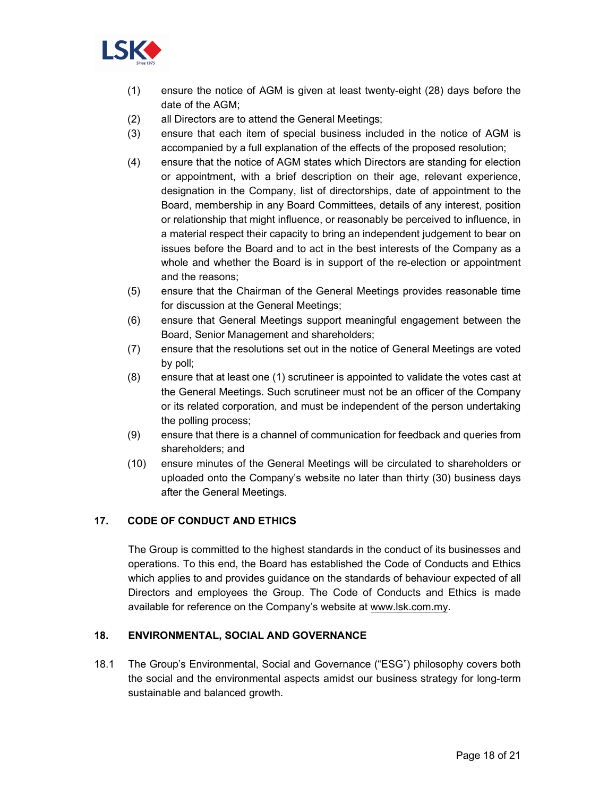

- (1) ensure the notice of AGM is given at least twenty-eight (28) days before the date of the AGM;
- (2) all Directors are to attend the General Meetings;
- (3) ensure that each item of special business included in the notice of AGM is accompanied by a full explanation of the effects of the proposed resolution;
- (4) ensure that the notice of AGM states which Directors are standing for election or appointment, with a brief description on their age, relevant experience, designation in the Company, list of directorships, date of appointment to the Board, membership in any Board Committees, details of any interest, position or relationship that might influence, or reasonably be perceived to influence, in a material respect their capacity to bring an independent judgement to bear on issues before the Board and to act in the best interests of the Company as a whole and whether the Board is in support of the re-election or appointment and the reasons;
- (5) ensure that the Chairman of the General Meetings provides reasonable time for discussion at the General Meetings;
- (6) ensure that General Meetings support meaningful engagement between the Board, Senior Management and shareholders;
- (7) ensure that the resolutions set out in the notice of General Meetings are voted by poll;
- (8) ensure that at least one (1) scrutineer is appointed to validate the votes cast at the General Meetings. Such scrutineer must not be an officer of the Company or its related corporation, and must be independent of the person undertaking the polling process;
- (9) ensure that there is a channel of communication for feedback and queries from shareholders; and
- (10) ensure minutes of the General Meetings will be circulated to shareholders or uploaded onto the Company's website no later than thirty (30) business days after the General Meetings.

# **17. CODE OF CONDUCT AND ETHICS**

The Group is committed to the highest standards in the conduct of its businesses and operations. To this end, the Board has established the Code of Conducts and Ethics which applies to and provides guidance on the standards of behaviour expected of all Directors and employees the Group. The Code of Conducts and Ethics is made available for reference on the Company's website at www.lsk.com.my.

# **18. ENVIRONMENTAL, SOCIAL AND GOVERNANCE**

18.1 The Group's Environmental, Social and Governance ("ESG") philosophy covers both the social and the environmental aspects amidst our business strategy for long-term sustainable and balanced growth.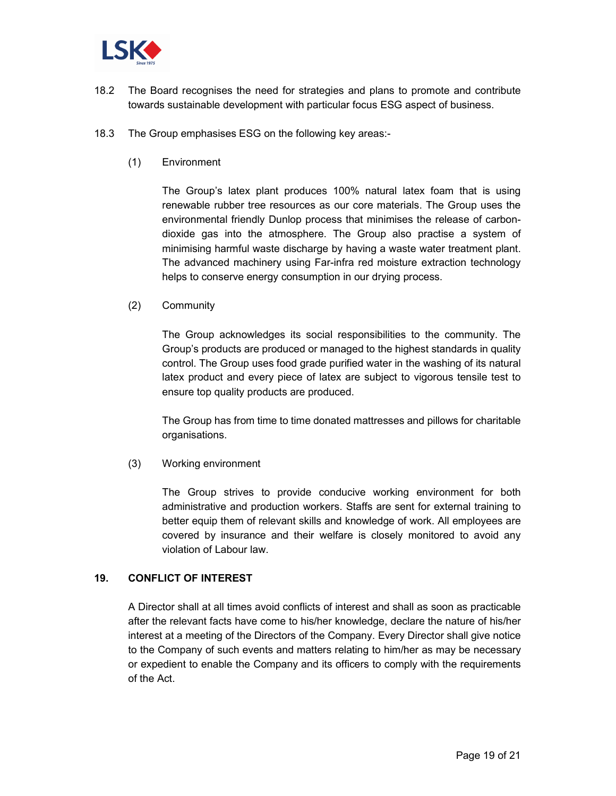

- 18.2 The Board recognises the need for strategies and plans to promote and contribute towards sustainable development with particular focus ESG aspect of business.
- 18.3 The Group emphasises ESG on the following key areas:-
	- (1) Environment

The Group's latex plant produces 100% natural latex foam that is using renewable rubber tree resources as our core materials. The Group uses the environmental friendly Dunlop process that minimises the release of carbondioxide gas into the atmosphere. The Group also practise a system of minimising harmful waste discharge by having a waste water treatment plant. The advanced machinery using Far-infra red moisture extraction technology helps to conserve energy consumption in our drying process.

(2) Community

The Group acknowledges its social responsibilities to the community. The Group's products are produced or managed to the highest standards in quality control. The Group uses food grade purified water in the washing of its natural latex product and every piece of latex are subject to vigorous tensile test to ensure top quality products are produced.

The Group has from time to time donated mattresses and pillows for charitable organisations.

(3) Working environment

The Group strives to provide conducive working environment for both administrative and production workers. Staffs are sent for external training to better equip them of relevant skills and knowledge of work. All employees are covered by insurance and their welfare is closely monitored to avoid any violation of Labour law.

#### **19. CONFLICT OF INTEREST**

A Director shall at all times avoid conflicts of interest and shall as soon as practicable after the relevant facts have come to his/her knowledge, declare the nature of his/her interest at a meeting of the Directors of the Company. Every Director shall give notice to the Company of such events and matters relating to him/her as may be necessary or expedient to enable the Company and its officers to comply with the requirements of the Act.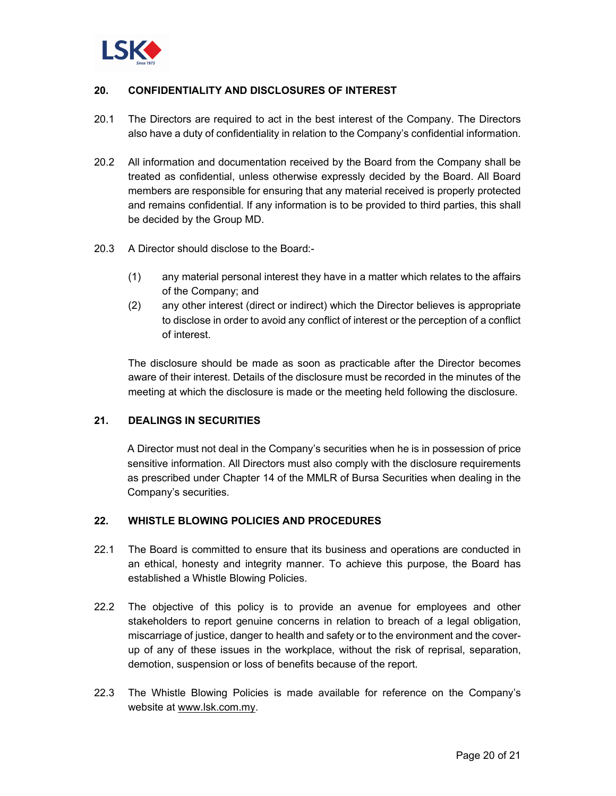

## **20. CONFIDENTIALITY AND DISCLOSURES OF INTEREST**

- 20.1 The Directors are required to act in the best interest of the Company. The Directors also have a duty of confidentiality in relation to the Company's confidential information.
- 20.2 All information and documentation received by the Board from the Company shall be treated as confidential, unless otherwise expressly decided by the Board. All Board members are responsible for ensuring that any material received is properly protected and remains confidential. If any information is to be provided to third parties, this shall be decided by the Group MD.
- 20.3 A Director should disclose to the Board:-
	- (1) any material personal interest they have in a matter which relates to the affairs of the Company; and
	- (2) any other interest (direct or indirect) which the Director believes is appropriate to disclose in order to avoid any conflict of interest or the perception of a conflict of interest.

The disclosure should be made as soon as practicable after the Director becomes aware of their interest. Details of the disclosure must be recorded in the minutes of the meeting at which the disclosure is made or the meeting held following the disclosure.

## **21. DEALINGS IN SECURITIES**

A Director must not deal in the Company's securities when he is in possession of price sensitive information. All Directors must also comply with the disclosure requirements as prescribed under Chapter 14 of the MMLR of Bursa Securities when dealing in the Company's securities.

#### **22. WHISTLE BLOWING POLICIES AND PROCEDURES**

- 22.1 The Board is committed to ensure that its business and operations are conducted in an ethical, honesty and integrity manner. To achieve this purpose, the Board has established a Whistle Blowing Policies.
- 22.2 The objective of this policy is to provide an avenue for employees and other stakeholders to report genuine concerns in relation to breach of a legal obligation, miscarriage of justice, danger to health and safety or to the environment and the coverup of any of these issues in the workplace, without the risk of reprisal, separation, demotion, suspension or loss of benefits because of the report.
- 22.3 The Whistle Blowing Policies is made available for reference on the Company's website at www.lsk.com.my.